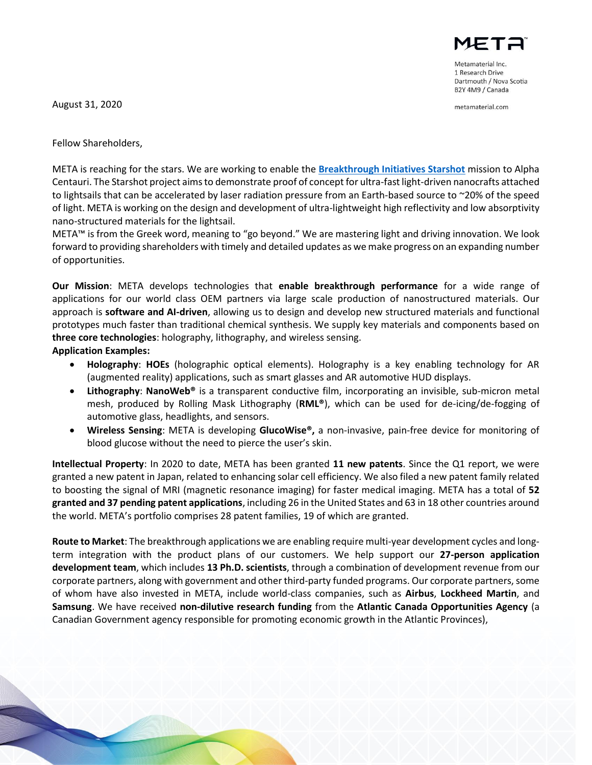August 31, 2020

Fellow Shareholders,



Metamaterial Inc. 1 Research Drive Dartmouth / Nova Scotia B2Y 4M9 / Canada

metamaterial.com

META is reaching for the stars. We are working to enable the **[Breakthrough Initiatives Starshot](https://breakthroughinitiatives.org/initiative/3)** mission to Alpha Centauri. The Starshot project aims to demonstrate proof of concept for ultra-fast light-driven nanocrafts attached to lightsails that can be accelerated by laser radiation pressure from an Earth-based source to ~20% of the speed of light. META is working on the design and development of ultra-lightweight high reflectivity and low absorptivity nano-structured materials for the lightsail.

META™ is from the Greek word, meaning to "go beyond." We are mastering light and driving innovation. We look forward to providing shareholders with timely and detailed updates as we make progress on an expanding number of opportunities.

**Our Mission**: META develops technologies that **enable breakthrough performance** for a wide range of applications for our world class OEM partners via large scale production of nanostructured materials. Our approach is **software and AI-driven**, allowing us to design and develop new structured materials and functional prototypes much faster than traditional chemical synthesis. We supply key materials and components based on **three core technologies**: holography, lithography, and wireless sensing.

## **Application Examples:**

- **Holography**: **HOEs** (holographic optical elements). Holography is a key enabling technology for AR (augmented reality) applications, such as smart glasses and AR automotive HUD displays.
- **Lithography**: **NanoWeb®** is a transparent conductive film, incorporating an invisible, sub-micron metal mesh, produced by Rolling Mask Lithography (**RML®**), which can be used for de-icing/de-fogging of automotive glass, headlights, and sensors.
- **Wireless Sensing**: META is developing **GlucoWise®,** a non-invasive, pain-free device for monitoring of blood glucose without the need to pierce the user's skin.

**Intellectual Property**: In 2020 to date, META has been granted **11 new patents**. Since the Q1 report, we were granted a new patent in Japan, related to enhancing solar cell efficiency. We also filed a new patent family related to boosting the signal of MRI (magnetic resonance imaging) for faster medical imaging. META has a total of **52 granted and 37 pending patent applications**, including 26 in the United States and 63 in 18 other countries around the world. META's portfolio comprises 28 patent families, 19 of which are granted.

**Route to Market**: The breakthrough applications we are enabling require multi-year development cycles and longterm integration with the product plans of our customers. We help support our **27-person application development team**, which includes **13 Ph.D. scientists**, through a combination of development revenue from our corporate partners, along with government and other third-party funded programs. Our corporate partners, some of whom have also invested in META, include world-class companies, such as **Airbus**, **Lockheed Martin**, and **Samsung**. We have received **non-dilutive research funding** from the **Atlantic Canada Opportunities Agency** (a Canadian Government agency responsible for promoting economic growth in the Atlantic Provinces),